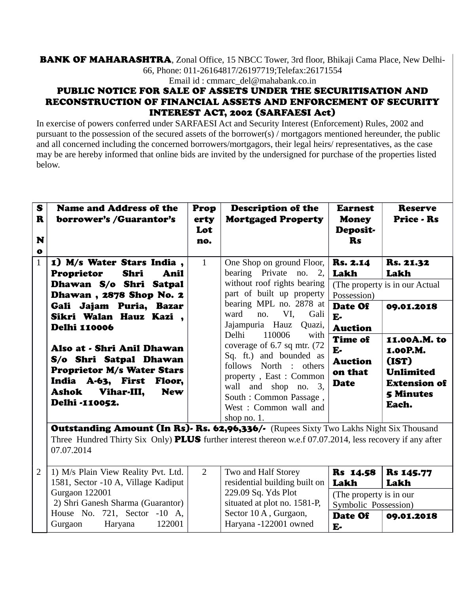## BANK OF MAHARASHTRA, Zonal Office, 15 NBCC Tower, 3rd floor, Bhikaji Cama Place, New Delhi-66, Phone: 011-26164817/26197719;Telefax:26171554

Email id : cmmarc\_del@mahabank.co.in

## PUBLIC NOTICE FOR SALE OF ASSETS UNDER THE SECURITISATION AND RECONSTRUCTION OF FINANCIAL ASSETS AND ENFORCEMENT OF SECURITY INTEREST ACT, 2002 (SARFAESI Act)

In exercise of powers conferred under SARFAESI Act and Security Interest (Enforcement) Rules, 2002 and pursuant to the possession of the secured assets of the borrower(s) / mortgagors mentioned hereunder, the public and all concerned including the concerned borrowers/mortgagors, their legal heirs/ representatives, as the case may be are hereby informed that online bids are invited by the undersigned for purchase of the properties listed below.

| S<br>$\mathbf R$<br>N<br>$\bullet$ | <b>Name and Address of the</b><br>borrower's /Guarantor's                                                                                                                                                                                                                                                                                                                       | Prop<br>erty<br>Lot<br>no. | <b>Description of the</b><br><b>Mortgaged Property</b>                                                                                                                                                                                                                                                                                                                                                                                         | <b>Earnest</b><br><b>Money</b><br>Deposit-<br><b>Rs</b>                                                                                         | <b>Reserve</b><br><b>Price - Rs</b>                                                                                                                                                    |
|------------------------------------|---------------------------------------------------------------------------------------------------------------------------------------------------------------------------------------------------------------------------------------------------------------------------------------------------------------------------------------------------------------------------------|----------------------------|------------------------------------------------------------------------------------------------------------------------------------------------------------------------------------------------------------------------------------------------------------------------------------------------------------------------------------------------------------------------------------------------------------------------------------------------|-------------------------------------------------------------------------------------------------------------------------------------------------|----------------------------------------------------------------------------------------------------------------------------------------------------------------------------------------|
| $\mathbf{1}$                       | 1) M/s Water Stars India,<br><b>Proprietor</b><br>Shri<br>Anil<br>Dhawan S/o Shri Satpal<br>Dhawan, 2878 Shop No. 2<br>Gali Jajam Puria, Bazar<br>Sikri Walan Hauz Kazi,<br><b>Delhi 110006</b><br>Also at - Shri Anil Dhawan<br>S/o Shri Satpal Dhawan<br><b>Proprietor M/s Water Stars</b><br>India A-63, First Floor,<br>Vihar-III,<br><b>New</b><br>Ashok<br>Delhi -110052. | $\mathbf{1}$               | One Shop on ground Floor,<br>bearing Private no. 2,<br>without roof rights bearing<br>part of built up property<br>bearing MPL no. 2878 at<br>VI, Gali<br>ward<br>no.<br>Jajampuria Hauz<br>Quazi,<br>Delhi<br>110006<br>with<br>coverage of $6.7$ sq mtr. $(72)$<br>Sq. ft.) and bounded as<br>follows North : others<br>property, East: Common<br>wall and shop no. 3,<br>South : Common Passage,<br>West: Common wall and<br>shop no. $1$ . | <b>Rs. 2.14</b><br>Lakh<br>Possession)<br>Date Of<br>$E-$<br><b>Auction</b><br><b>Time of</b><br>E-<br><b>Auction</b><br>on that<br><b>Date</b> | <b>Rs. 21.32</b><br>Lakh<br>(The property is in our Actual)<br>09.01.2018<br>11.00A.M. to<br>1.00P.M.<br>(IST)<br><b>Unlimited</b><br><b>Extension of</b><br><b>5 Minutes</b><br>Each. |
| 2                                  | Outstanding Amount (In Rs). Rs. 62,96,336/- (Rupees Sixty Two Lakhs Night Six Thousand<br>Three Hundred Thirty Six Only) <b>PLUS</b> further interest thereon w.e.f 07.07.2014, less recovery if any after<br>07.07.2014<br>1) M/s Plain View Reality Pvt. Ltd.                                                                                                                 | $\overline{2}$             | Two and Half Storey                                                                                                                                                                                                                                                                                                                                                                                                                            | <b>Rs</b> 14.58                                                                                                                                 | <b>Rs 145.77</b>                                                                                                                                                                       |
|                                    | 1581, Sector -10 A, Village Kadiput<br>Gurgaon 122001                                                                                                                                                                                                                                                                                                                           |                            | residential building built on<br>229.09 Sq. Yds Plot                                                                                                                                                                                                                                                                                                                                                                                           | Lakh<br>(The property is in our                                                                                                                 | Lakh                                                                                                                                                                                   |

situated at plot no. 1581-P, Sector 10 A , Gurgaon, Haryana -122001 owned

Symbolic Possession)

09.01.2018

Date Of

E-

 2) Shri Ganesh Sharma (Guarantor) House No. 721, Sector -10 A, Gurgaon Haryana 122001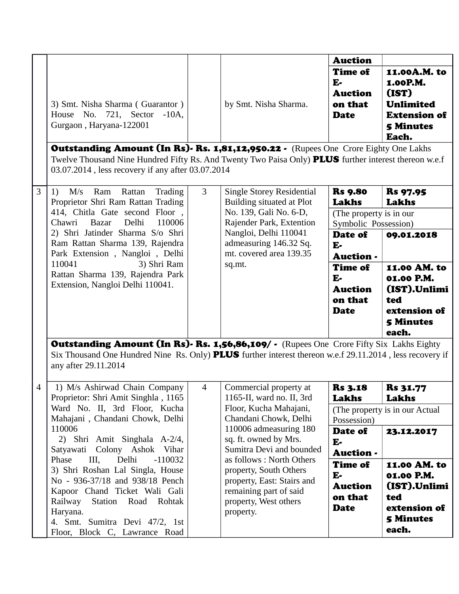|   |                                                                                                                                                                                                                                                                                                                                                              |                |                                                                                                                                                  | <b>Auction</b>                                                      |                                                                                                           |
|---|--------------------------------------------------------------------------------------------------------------------------------------------------------------------------------------------------------------------------------------------------------------------------------------------------------------------------------------------------------------|----------------|--------------------------------------------------------------------------------------------------------------------------------------------------|---------------------------------------------------------------------|-----------------------------------------------------------------------------------------------------------|
|   | 3) Smt. Nisha Sharma (Guarantor)<br>House No. 721, Sector -10A,<br>Gurgaon, Haryana-122001<br><b>Outstanding Amount (In Rs). Rs. 1,81,12,950.22.</b> (Rupees One Crore Eighty One Lakhs<br>Twelve Thousand Nine Hundred Fifty Rs. And Twenty Two Paisa Only) <b>PLUS</b> further interest thereon w.e.f<br>03.07.2014, less recovery if any after 03.07.2014 |                | by Smt. Nisha Sharma.                                                                                                                            | <b>Time of</b><br>$E -$<br><b>Auction</b><br>on that<br><b>Date</b> | 11.00A.M. to<br>1.00P.M.<br>(IST)<br><b>Unlimited</b><br><b>Extension of</b><br><b>5 Minutes</b><br>Each. |
| 3 | M/s<br>Ram<br>Rattan<br>Trading<br>1)                                                                                                                                                                                                                                                                                                                        | 3              | <b>Single Storey Residential</b>                                                                                                                 | <b>Rs</b> 9.80                                                      | <b>Rs</b> 97.95                                                                                           |
|   | Proprietor Shri Ram Rattan Trading<br>414, Chitla Gate second Floor,<br>Delhi<br>110006<br>Chawri<br><b>Bazar</b>                                                                                                                                                                                                                                            |                | Building situated at Plot<br>No. 139, Gali No. 6-D,<br>Rajender Park, Extention                                                                  | Lakhs<br>(The property is in our<br>Symbolic Possession)            | Lakhs                                                                                                     |
|   | 2) Shri Jatinder Sharma S/o Shri<br>Ram Rattan Sharma 139, Rajendra<br>Park Extension, Nangloi, Delhi                                                                                                                                                                                                                                                        |                | Nangloi, Delhi 110041<br>admeasuring 146.32 Sq.<br>mt. covered area 139.35                                                                       | Date of<br>$E-$<br>Auction -                                        | 09.01.2018                                                                                                |
|   | 110041<br>3) Shri Ram<br>Rattan Sharma 139, Rajendra Park<br>Extension, Nangloi Delhi 110041.                                                                                                                                                                                                                                                                |                | sq.mt.                                                                                                                                           | <b>Time of</b><br>$E-$<br><b>Auction</b><br>on that<br><b>Date</b>  | 11.00 AM. to<br>01.00 P.M.<br>(IST).Unlimi<br>ted<br>extension of<br><b>5 Minutes</b><br>each.            |
|   | <b>Outstanding Amount (In Rs). Rs. 1,56,86,109/</b> • (Rupees One Crore Fifty Six Lakhs Eighty<br>Six Thousand One Hundred Nine Rs. Only) <b>PLUS</b> further interest thereon w.e.f 29.11.2014, less recovery if<br>any after 29.11.2014                                                                                                                    |                |                                                                                                                                                  |                                                                     |                                                                                                           |
|   | 1) M/s Ashirwad Chain Company<br>Proprietor: Shri Amit Singhla, 1165                                                                                                                                                                                                                                                                                         | $\overline{4}$ | Commercial property at<br>1165-II, ward no. II, 3rd                                                                                              | <b>Rs 3.18</b><br>Lakhs                                             | <b>Rs 31.77</b><br><b>Lakhs</b>                                                                           |
|   | Ward No. II, 3rd Floor, Kucha<br>Mahajani, Chandani Chowk, Delhi                                                                                                                                                                                                                                                                                             |                | Floor, Kucha Mahajani,<br>Chandani Chowk, Delhi                                                                                                  | Possession)                                                         | (The property is in our Actual                                                                            |
|   | 110006<br>2) Shri Amit Singhala A-2/4,<br>Satyawati Colony Ashok Vihar                                                                                                                                                                                                                                                                                       |                | 110006 admeasuring 180<br>sq. ft. owned by Mrs.<br>Sumitra Devi and bounded                                                                      | Date of<br>$E-$<br>Auction -                                        | 23.12.2017                                                                                                |
|   | $III$ ,<br>Phase<br>Delhi<br>$-110032$<br>3) Shri Roshan Lal Singla, House<br>No - 936-37/18 and 938/18 Pench<br>Kapoor Chand Ticket Wali Gali<br>Station<br>Railway<br>Road<br>Rohtak<br>Haryana.<br>4. Smt. Sumitra Devi 47/2, 1st<br>Floor, Block C, Lawrance Road                                                                                        |                | as follows: North Others<br>property, South Others<br>property, East: Stairs and<br>remaining part of said<br>property, West others<br>property. | <b>Time of</b><br>$E-$<br><b>Auction</b><br>on that<br><b>Date</b>  | 11.00 AM. to<br>01.00 P.M.<br>(IST).Unlimi<br>ted<br>extension of<br><b>5 Minutes</b><br>each.            |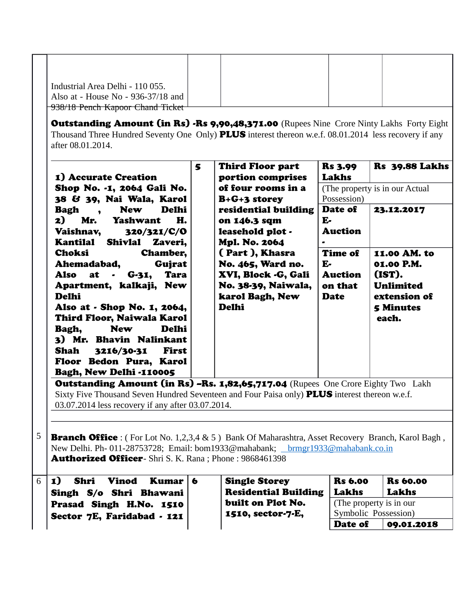| Industrial Area Delhi - 110 055.   |  |  |
|------------------------------------|--|--|
|                                    |  |  |
| Also at - House No - 936-37/18 and |  |  |
| 938/18 Pench Kapoor Chand Ticket   |  |  |
|                                    |  |  |

Outstanding Amount (in Rs) -Rs 9,90,48,371.00 (Rupees Nine Crore Ninty Lakhs Forty Eight Thousand Three Hundred Seventy One Only) PLUS interest thereon w.e.f. 08.01.2014 less recovery if any after 08.01.2014.

| 1) Accurate Creation                                                                                                 | 5 | Third Floor part<br>portion comprises                                                                                                                                                                                                                                                                                                            | <b>Rs 3.99</b><br>Lakhs                  | <b>Rs</b> 39.88 Lakhs                                |
|----------------------------------------------------------------------------------------------------------------------|---|--------------------------------------------------------------------------------------------------------------------------------------------------------------------------------------------------------------------------------------------------------------------------------------------------------------------------------------------------|------------------------------------------|------------------------------------------------------|
| Shop No. -1, 2064 Gali No.<br>38 & 39, Nai Wala, Karol                                                               |   | of four rooms in a<br>$B + G + 3$ storey                                                                                                                                                                                                                                                                                                         | Possession)                              | (The property is in our Actual)                      |
| <b>New</b><br>Delhi<br>Bagh<br>$\overline{\phantom{a}}$<br>2)<br>Н.<br>Mr.<br>Yashwant<br>Vaishnav, 320/321/C/O      |   | residential building<br>on 146.3 sqm<br>leasehold plot -                                                                                                                                                                                                                                                                                         | Date of<br>$E-$<br><b>Auction</b>        | 23.12.2017                                           |
| Kantilal Shivlal<br>Zaveri,<br>Choksi<br><b>Chamber,</b><br>Gujrat<br>Ahemadabad,                                    |   | Mpl. No. 2064<br>(Part), Khasra<br>No. 465, Ward no.                                                                                                                                                                                                                                                                                             | $\bullet$<br><b>Time of</b><br>$E-$      | 11.00 AM. to<br>01.00 P.M.                           |
| Also at<br><b>Tara</b><br>$G-31,$<br>$\bullet$<br>Apartment, kalkaji, New<br><b>Delhi</b>                            |   | XVI, Block -G, Gali<br>No. 38-39, Naiwala,<br>karol Bagh, New                                                                                                                                                                                                                                                                                    | <b>Auction</b><br>on that<br><b>Date</b> | (IST).<br>Unlimited<br>extension of                  |
| Also at - Shop No. 1, 2064,<br>Third Floor, Naiwala Karol<br>Delhi<br><b>New</b><br>Bagh,<br>3) Mr. Bhavin Nalinkant |   | Delhi                                                                                                                                                                                                                                                                                                                                            |                                          | <b>5 Minutes</b><br>each.                            |
| Shah<br>3216/30-31<br>First<br>Floor Bedon Pura, Karol<br>Bagh, New Delhi -110005                                    |   |                                                                                                                                                                                                                                                                                                                                                  |                                          |                                                      |
| $\mathbf{A}$ . And a set of $\mathbf{A}$ is a set of $\mathbf{A}$ is a set of $\mathbf{A}$                           |   | $\mathbf{m}$ $\mathbf{m}$ $\mathbf{m}$ $\mathbf{m}$ $\mathbf{m}$ $\mathbf{m}$ $\mathbf{m}$ $\mathbf{m}$ $\mathbf{m}$ $\mathbf{m}$ $\mathbf{m}$ $\mathbf{m}$ $\mathbf{m}$ $\mathbf{m}$ $\mathbf{m}$ $\mathbf{m}$ $\mathbf{m}$ $\mathbf{m}$ $\mathbf{m}$ $\mathbf{m}$ $\mathbf{m}$ $\mathbf{m}$ $\mathbf{m}$ $\mathbf{m}$ $\mathbf{$<br>$\sqrt{2}$ | $\sim$ $\sim$                            | $\mathbf{m} \cdot \mathbf{1}$ , $\mathbf{m}$<br>T 11 |

**Outstanding Amount (in Rs) –Rs. 1,82,65,717.04** (Rupees One Crore Eighty Two Lakh Sixty Five Thousand Seven Hundred Seventeen and Four Paisa only) **PLUS** interest thereon w.e.f. 03.07.2014 less recovery if any after 03.07.2014.

5 **Branch Office** : (For Lot No. 1,2,3,4 & 5) Bank Of Maharashtra, Asset Recovery Branch, Karol Bagh, New Delhi. Ph- 011-28753728; Email: bom1933@mahabank; hrmgr1933@mahabank.co.in Authorized Officer- Shri S. K. Rana ; Phone : 9868461398

| $\vert$ 1)<br>Shri<br>Vinod<br>Kumar   6 | <b>Single Storey</b>        | <b>Rs</b> 6.00           | <b>Rs</b> 60.00 |
|------------------------------------------|-----------------------------|--------------------------|-----------------|
| Singh S/o Shri Bhawani                   | <b>Residential Building</b> | Lakhs                    | Lakhs           |
| Prasad Singh H.No. 1510                  | built on Plot No.           | (The property is in our) |                 |
| Sector 7E, Faridabad - 121               | 1510, sector-7-E,           | Symbolic Possession)     |                 |
|                                          |                             | Date of                  | 09.01.2018      |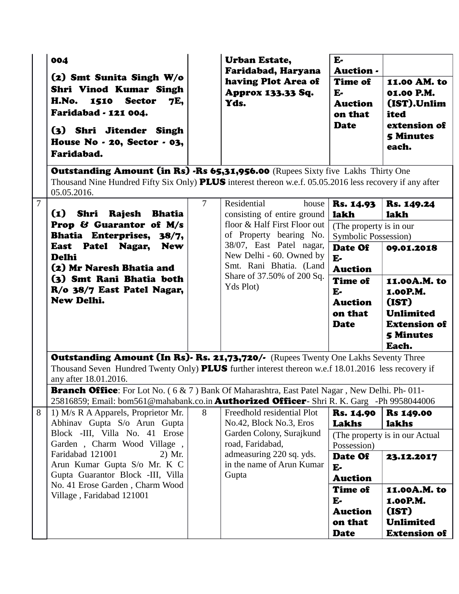| 004<br>(2) Smt Sunita Singh W/o<br>Shri Vinod Kumar Singh                                                                                                                                                                 |                                         | <b>Urban Estate,</b><br>Faridabad, Haryana<br>having Plot Area of<br>Approx 133.33 Sq. | $E -$<br><b>Auction -</b><br><b>Time of</b><br>$E-$                                                       | 11.00 AM. to<br>01.00 P.M.                                                   |
|---------------------------------------------------------------------------------------------------------------------------------------------------------------------------------------------------------------------------|-----------------------------------------|----------------------------------------------------------------------------------------|-----------------------------------------------------------------------------------------------------------|------------------------------------------------------------------------------|
| H.No. 1510 Sector<br>7E,<br>Faridabad - 121 004.<br>(3) Shri Jitender Singh<br>House No $\cdot$ 20, Sector $\cdot$ 03,<br>Faridabad.                                                                                      |                                         | Yds.                                                                                   | <b>Auction</b><br>on that<br><b>Date</b>                                                                  | (IST).Unlim<br>ited<br>extension of<br><b>5 Minutes</b><br>each.             |
| <b>Outstanding Amount (in Rs) -Rs 65,31,956.00</b> (Rupees Sixty five Lakhs Thirty One<br>Thousand Nine Hundred Fifty Six Only) <b>PLUS</b> interest thereon w.e.f. 05.05.2016 less recovery if any after<br>05.05.2016.  |                                         |                                                                                        |                                                                                                           |                                                                              |
| $\overline{7}$<br>$\mathbf{I}$<br>Shri<br>Rajesh<br><b>Bhatia</b>                                                                                                                                                         | $\overline{7}$                          | Residential<br>house<br>consisting of entire ground                                    | <b>Rs. 14.93</b><br><b>lakh</b>                                                                           | Rs. 149.24<br><b>lakh</b>                                                    |
| Prop & Guarantor of M/s<br>Bhatia Enterprises, 38/7,                                                                                                                                                                      |                                         | floor & Half First Floor out<br>of Property bearing No.                                | (The property is in our)<br>Symbolic Possession)                                                          |                                                                              |
| East Patel Nagar, New<br><b>Delhi</b><br>(2) Mr Naresh Bhatia and<br>(3) Smt Rani Bhatia both<br>R/o 38/7 East Patel Nagar,<br>New Delhi.                                                                                 |                                         | 38/07, East Patel nagar,<br>New Delhi - 60. Owned by<br>Smt. Rani Bhatia. (Land        | Date Of<br>$E -$<br><b>Auction</b>                                                                        | 09.01.2018                                                                   |
|                                                                                                                                                                                                                           | Share of 37.50% of 200 Sq.<br>Yds Plot) | <b>Time of</b><br>$E-$<br><b>Auction</b><br>on that<br><b>Date</b>                     | 11.00A.M. to<br>1.00P.M.<br>(IST)<br><b>Unlimited</b><br><b>Extension of</b><br><b>5 Minutes</b><br>Each. |                                                                              |
| <b>Outstanding Amount (In Rs). Rs. 21,73,720/.</b> (Rupees Twenty One Lakhs Seventy Three<br>Thousand Seven Hundred Twenty Only) PLUS further interest thereon w.e.f 18.01.2016 less recovery if<br>any after 18.01.2016. |                                         |                                                                                        |                                                                                                           |                                                                              |
| <b>Branch Office</b> : For Lot No. (6 & 7) Bank Of Maharashtra, East Patel Nagar, New Delhi. Ph-011-<br>25816859; Email: bom561@mahabank.co.in <b>Authorized Officer</b> - Shri R. K. Garg -Ph 9958044006                 |                                         |                                                                                        |                                                                                                           |                                                                              |
| 1) M/s R A Apparels, Proprietor Mr.<br>Abhinav Gupta S/o Arun Gupta<br>Block -III, Villa No. 41 Erose                                                                                                                     | 8                                       | Freedhold residential Plot<br>No.42, Block No.3, Eros<br>Garden Colony, Surajkund      | <b>Rs. 14.90</b><br>Lakhs                                                                                 | <b>Rs 149.00</b><br><b>lakhs</b><br>(The property is in our Actual)          |
| Garden, Charm Wood Village,<br>Faridabad 121001<br>2) Mr.<br>Arun Kumar Gupta S/o Mr. K C                                                                                                                                 |                                         | road, Faridabad,<br>admeasuring 220 sq. yds.<br>in the name of Arun Kumar              | Possession)<br>Date Of<br>$E-$                                                                            | 23.12.2017                                                                   |
| Gupta Guarantor Block -III, Villa<br>No. 41 Erose Garden, Charm Wood<br>Village, Faridabad 121001                                                                                                                         |                                         | Gupta                                                                                  | <b>Auction</b><br><b>Time of</b><br>$E-$<br><b>Auction</b><br>on that<br><b>Date</b>                      | 11.00A.M. to<br>1.00P.M.<br>(IST)<br><b>Unlimited</b><br><b>Extension of</b> |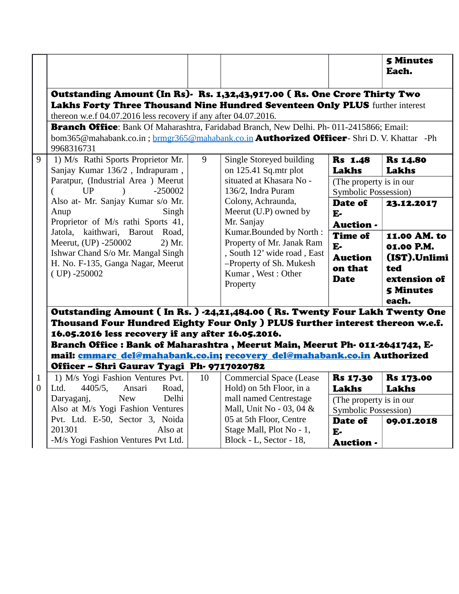|              |                                                                                                                                                                                                                                                                                                                                                                                                                           |    |                                                                                                                                                  |                                                                    | <b>5 Minutes</b><br>Each.                                                                      |
|--------------|---------------------------------------------------------------------------------------------------------------------------------------------------------------------------------------------------------------------------------------------------------------------------------------------------------------------------------------------------------------------------------------------------------------------------|----|--------------------------------------------------------------------------------------------------------------------------------------------------|--------------------------------------------------------------------|------------------------------------------------------------------------------------------------|
|              | Outstanding Amount (In Rs). Rs. 1,32,43,917.00 (Rs. One Crore Thirty Two<br>Lakhs Forty Three Thousand Nine Hundred Seventeen Only PLUS further interest<br>thereon w.e.f 04.07.2016 less recovery if any after 04.07.2016.                                                                                                                                                                                               |    |                                                                                                                                                  |                                                                    |                                                                                                |
|              | Branch Office: Bank Of Maharashtra, Faridabad Branch, New Delhi. Ph-011-2415866; Email:<br>bom365@mahabank.co.in; brmgr365@mahabank.co.in <b>Authorized Officer</b> - Shri D. V. Khattar -Ph<br>9968316731                                                                                                                                                                                                                |    |                                                                                                                                                  |                                                                    |                                                                                                |
| 9            | 1) M/s Rathi Sports Proprietor Mr.                                                                                                                                                                                                                                                                                                                                                                                        | 9  | Single Storeyed building                                                                                                                         | <b>Rs</b> 1.48                                                     | <b>Rs 14.80</b>                                                                                |
|              | Sanjay Kumar 136/2, Indrapuram,<br>Paratpur, (Industrial Area) Meerut<br><b>UP</b><br>$-250002$                                                                                                                                                                                                                                                                                                                           |    | on 125.41 Sq.mtr plot<br>situated at Khasara No -<br>136/2, Indra Puram                                                                          | <b>Lakhs</b><br>(The property is in our<br>Symbolic Possession)    | Lakhs                                                                                          |
|              | Also at- Mr. Sanjay Kumar s/o Mr.<br>Anup<br>Singh<br>Proprietor of M/s rathi Sports 41,                                                                                                                                                                                                                                                                                                                                  |    | Colony, Achraunda,<br>Meerut (U.P) owned by<br>Mr. Sanjay                                                                                        | Date of<br>$E-$<br><b>Auction -</b>                                | 23.12.2017                                                                                     |
|              | Jatola, kaithwari, Barout Road,<br>Meerut, (UP) -250002<br>2) Mr.<br>Ishwar Chand S/o Mr. Mangal Singh<br>H. No. F-135, Ganga Nagar, Meerut<br>$(UP) - 250002$                                                                                                                                                                                                                                                            |    | Kumar.Bounded by North:<br>Property of Mr. Janak Ram<br>, South 12' wide road, East<br>-Property of Sh. Mukesh<br>Kumar, West: Other<br>Property | <b>Time of</b><br>$E-$<br><b>Auction</b><br>on that<br><b>Date</b> | 11.00 AM. to<br>01.00 P.M.<br>(IST).Unlimi<br>ted<br>extension of<br><b>5 Minutes</b><br>each. |
|              | Outstanding Amount (In Rs.) -24,21,484.00 (Rs. Twenty Four Lakh Twenty One<br>Thousand Four Hundred Eighty Four Only ) PLUS further interest thereon w.e.f.<br>16.05.2016 less recovery if any after 16.05.2016.<br>Branch Office : Bank of Maharashtra, Meerut Main, Meerut Ph- 011-2641742, E-<br>mail: cmmarc del@mahabank.co.in; recovery del@mahabank.co.in Authorized<br>Officer - Shri Gaurav Tyagi Ph- 9717020782 |    |                                                                                                                                                  |                                                                    |                                                                                                |
| $\mathbf{1}$ | 1) M/s Yogi Fashion Ventures Pvt.                                                                                                                                                                                                                                                                                                                                                                                         | 10 | <b>Commercial Space (Lease</b>                                                                                                                   | <b>Rs 17.30</b>                                                    | <b>Rs 173.00</b>                                                                               |
|              | 0 Ltd. 4405/5, Ansari Road,                                                                                                                                                                                                                                                                                                                                                                                               |    | Hold) on 5th Floor, in a                                                                                                                         | Lakhs                                                              | Lakhs                                                                                          |
|              | Delhi<br><b>New</b><br>Daryaganj,<br>Also at M/s Yogi Fashion Ventures                                                                                                                                                                                                                                                                                                                                                    |    | mall named Centrestage<br>Mall, Unit No - 03, 04 &                                                                                               | (The property is in our                                            |                                                                                                |
|              | Pvt. Ltd. E-50, Sector 3, Noida<br>201301<br>Also at<br>-M/s Yogi Fashion Ventures Pvt Ltd.                                                                                                                                                                                                                                                                                                                               |    | 05 at 5th Floor, Centre<br>Stage Mall, Plot No - 1,<br>Block - L, Sector - 18,                                                                   | Symbolic Possession)<br>Date of<br>$E -$<br>Auction -              | 09.01.2018                                                                                     |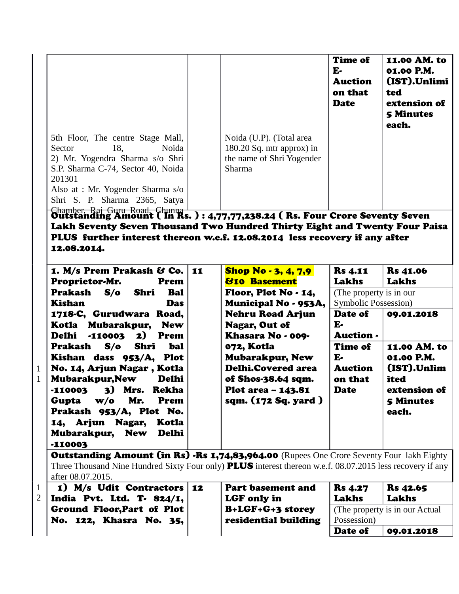|                                                                                                                                                                                     |                                                                                                | <b>Time of</b><br>${\bf E}$<br><b>Auction</b><br>on that<br><b>Date</b> | 11.00 AM. to<br>01.00 P.M.<br>(IST).Unlimi<br>ted<br>extension of<br><b>5 Minutes</b><br>each. |
|-------------------------------------------------------------------------------------------------------------------------------------------------------------------------------------|------------------------------------------------------------------------------------------------|-------------------------------------------------------------------------|------------------------------------------------------------------------------------------------|
| 5th Floor, The centre Stage Mall,<br>Noida<br>18.<br>Sector<br>2) Mr. Yogendra Sharma s/o Shri<br>S.P. Sharma C-74, Sector 40, Noida<br>201301<br>Also at : Mr. Yogender Sharma s/o | Noida (U.P). (Total area<br>$180.20$ Sq. mtr approx) in<br>the name of Shri Yogender<br>Sharma |                                                                         |                                                                                                |
| Shri S. P. Sharma 2365, Satya<br>Chamber Dai Cury Doad Chunna                                                                                                                       |                                                                                                |                                                                         |                                                                                                |

Chamber, Raj Guru Road, Chunna Outstanding Amount ( In Rs. ) : 4,77,77,238.24 ( Rs. Four Crore Seventy Seven Lakh Seventy Seven Thousand Two Hundred Thirty Eight and Twenty Four Paisa PLUS further interest thereon w.e.f. 12.08.2014 less recovery if any after 12.08.2014.

| 1. M/s Prem Prakash & Co.   11<br>Proprietor-Mr.<br>Prem                                                                                                                                                                                                              | <b>Shop No - 3, 4, 7,9</b><br><b><i><u>810 Basement</u></i></b>                                                                             | <b>Rs</b> 4.11<br><b>Lakhs</b>                            | <b>Rs</b> 41.06<br>Lakhs                                                                       |
|-----------------------------------------------------------------------------------------------------------------------------------------------------------------------------------------------------------------------------------------------------------------------|---------------------------------------------------------------------------------------------------------------------------------------------|-----------------------------------------------------------|------------------------------------------------------------------------------------------------|
| Prakash S/o Shri<br><b>Bal</b><br>Kishan<br><b>Das</b>                                                                                                                                                                                                                | Floor, Plot No $\cdot$ 14,<br>Municipal No - 953A,                                                                                          | (The property is in our)<br><b>Symbolic Possession</b> )  |                                                                                                |
| 1718-C, Gurudwara Road,<br>Kotla Mubarakpur, New<br>Delhi -110003 2) Prem                                                                                                                                                                                             | <b>Nehru Road Arjun</b><br><b>Nagar, Out of</b><br>Khasara No - 009-                                                                        | Date of<br>E-<br><b>Auction</b> -                         | 09.01.2018                                                                                     |
| Prakash S/o Shri<br>bal<br>Kishan dass 953/A, Plot<br>No. 14, Arjun Nagar, Kotla<br><b>Mubarakpur, New</b><br>Delhi<br>-110003 3) Mrs. Rekha<br>Gupta w/o Mr.<br>Prem<br>Prakash 953/A, Plot No.<br>14, Arjun Nagar, Kotla<br>Mubarakpur, New Delhi<br><b>-110003</b> | 072, Kotla<br><b>Mubarakpur, New</b><br><b>Delhi.Covered area</b><br>of Shos-38.64 sqm.<br><b>Plot area - 143.81</b><br>sqm. (172 Sq. yard) | Time of<br>E-<br><b>Auction</b><br>on that<br><b>Date</b> | 11.00 AM. to<br>01.00 P.M.<br>(IST).Unlim<br>ited<br>extension of<br><b>5 Minutes</b><br>each. |

1 1

> Outstanding Amount (in Rs) -Rs 1,74,83,964.00 (Rupees One Crore Seventy Four lakh Eighty Three Thousand Nine Hundred Sixty Four only) **PLUS** interest thereon w.e.f. 08.07.2015 less recovery if any after 08.07.2015.

| $1$   1) M/s Udit Contractors   12 | <b>Part basement and</b> | <b>Rs</b> 4.27 | <b>Rs</b> 42.65                 |
|------------------------------------|--------------------------|----------------|---------------------------------|
| 2   India Pvt. Ltd. T. 824/1, $ $  | LGF only in              | Lakhs          | Lakhs                           |
| Ground Floor, Part of Plot         | <b>B+LGF+G+3 storey</b>  |                | (The property is in our Actual) |
| No. 122, Khasra No. 35,            | residential building     | Possession)    |                                 |
|                                    |                          | Date of        | 09.01.2018                      |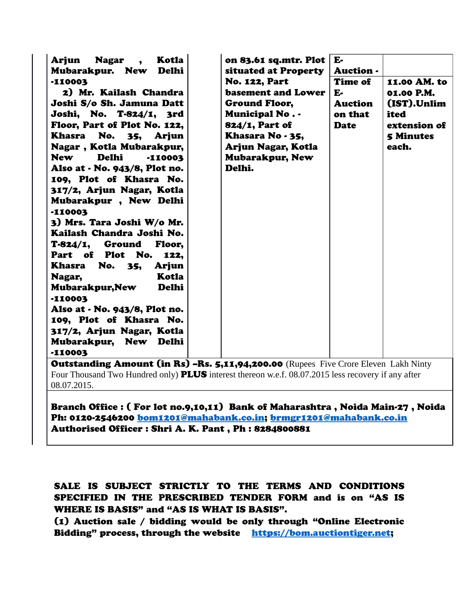| $-110003$ | Khasara No - 35,<br>Arjun<br>35,<br>Nagar, Kotla Mubarakpur,<br>Arjun Nagar, Kotla<br><b>Delhi</b><br><b>New</b><br><b>Mubarakpur, New</b><br>$-110003$<br>Delhi.<br>Also at - No. 943/8, Plot no.<br>109, Plot of Khasra No.<br>317/2, Arjun Nagar, Kotla<br>Mubarakpur, New Delhi<br>$-110003$<br>3) Mrs. Tara Joshi W/o Mr.<br>Kailash Chandra Joshi No.<br>T-824/1, Ground<br>Floor,<br>Part of Plot No.<br>122,<br>Khasra No. 35,<br>Arjun<br>Kotla<br>Nagar,<br>Delhi<br>Mubarakpur, New<br>-110003<br>Also at - No. 943/8, Plot no.<br>109, Plot of Khasra No.<br>317/2, Arjun Nagar, Kotla<br>Mubarakpur, New Delhi |  |  |  |
|-----------|-----------------------------------------------------------------------------------------------------------------------------------------------------------------------------------------------------------------------------------------------------------------------------------------------------------------------------------------------------------------------------------------------------------------------------------------------------------------------------------------------------------------------------------------------------------------------------------------------------------------------------|--|--|--|
|-----------|-----------------------------------------------------------------------------------------------------------------------------------------------------------------------------------------------------------------------------------------------------------------------------------------------------------------------------------------------------------------------------------------------------------------------------------------------------------------------------------------------------------------------------------------------------------------------------------------------------------------------------|--|--|--|

**Outstanding Amount (in Rs) –Rs. 5,11,94,200.00** (Rupees Five Crore Eleven Lakh Ninty Four Thousand Two Hundred only) **PLUS** interest thereon w.e.f. 08.07.2015 less recovery if any after 08.07.2015.

## Branch Office : ( For lot no.9,10,11) Bank of Maharashtra , Noida Main-27 , Noida Ph: 0120-2546200 [bom1201@mahabank.co.in;](mailto:bom1201@mahabank.co.in) [brmgr1201@mahabank.co.in](mailto:brmgr1201@mahabank.co.in) Authorised Officer : Shri A. K. Pant , Ph : 8284800881

SALE IS SUBJECT STRICTLY TO THE TERMS AND CONDITIONS SPECIFIED IN THE PRESCRIBED TENDER FORM and is on "AS IS WHERE IS BASIS" and "AS IS WHAT IS BASIS".

(1) Auction sale / bidding would be only through "Online Electronic Bidding" process, through the website [https://bom.auctiontiger.net;](https://bom.auctiontiger.net/)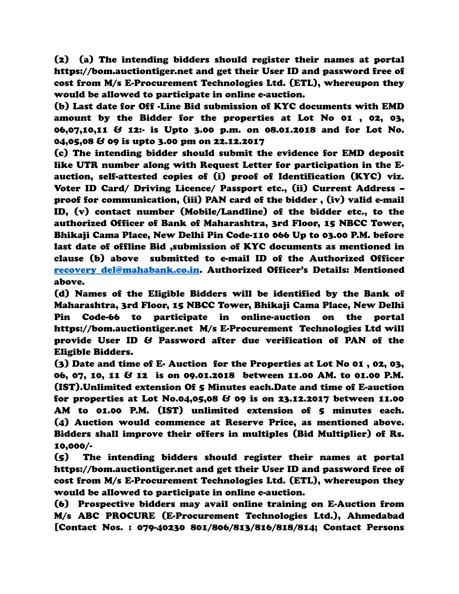(2) (a) The intending bidders should register their names at portal https://bom.auctiontiger.net and get their User ID and password free of cost from M/s E-Procurement Technologies Ltd. (ETL), whereupon they would be allowed to participate in online e-auction.

(b) Last date for Off -Line Bid submission of KYC documents with EMD amount by the Bidder for the properties at Lot No 01 , 02, 03, 06,07,10,11 & 12:- is Upto 3.00 p.m. on 08.01.2018 and for Lot No. 04,05,08 & 09 is upto 3.00 pm on 22.12.2017

(c) The intending bidder should submit the evidence for EMD deposit like UTR number along with Request Letter for participation in the Eauction, self-attested copies of (i) proof of Identification (KYC) viz. Voter ID Card/ Driving Licence/ Passport etc., (ii) Current Address – proof for communication, (iii) PAN card of the bidder , (iv) valid e-mail ID, (v) contact number (Mobile/Landline) of the bidder etc., to the authorized Officer of Bank of Maharashtra, 3rd Floor, 15 NBCC Tower, Bhikaji Cama Place, New Delhi Pin Code-110 066 Up to 03.00 P.M. before last date of offline Bid ,submission of KYC documents as mentioned in clause (b) above submitted to e-mail ID of the Authorized Officer [recovery\\_del@mahabank.co.in.](mailto:recovery_del@mahabank.co.in) Authorized Officer's Details: Mentioned above.

(d) Names of the Eligible Bidders will be identified by the Bank of Maharashtra, 3rd Floor, 15 NBCC Tower, Bhikaji Cama Place, New Delhi Pin Code-66 to participate in online-auction on the portal https://bom.auctiontiger.net M/s E-Procurement Technologies Ltd will provide User ID & Password after due verification of PAN of the Eligible Bidders.

(3) Date and time of E- Auction for the Properties at Lot No 01 , 02, 03, 06, 07, 10, 11 & 12 is on 09.01.2018 between 11.00 AM. to 01.00 P.M. (IST).Unlimited extension Of 5 Minutes each.Date and time of E-auction for properties at Lot No.04,05,08 & 09 is on 23.12.2017 between 11.00 AM to 01.00 P.M. (IST) unlimited extension of 5 minutes each. (4) Auction would commence at Reserve Price, as mentioned above. Bidders shall improve their offers in multiples (Bid Multiplier) of Rs. 10,000/-

(5) The intending bidders should register their names at portal https://bom.auctiontiger.net and get their User ID and password free of cost from M/s E-Procurement Technologies Ltd. (ETL), whereupon they would be allowed to participate in online e-auction.

(6) Prospective bidders may avail online training on E-Auction from M/s ABC PROCURE (E-Procurement Technologies Ltd.), Ahmedabad [Contact Nos. : 079-40230 801/806/813/816/818/814; Contact Persons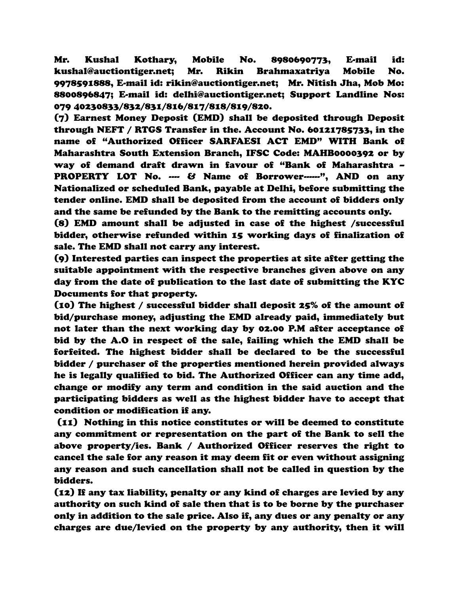Mr. Kushal Kothary, Mobile No. 8980690773, E-mail id: kushal@auctiontiger.net; Mr. Rikin Brahmaxatriya Mobile No. 9978591888, E-mail id: rikin@auctiontiger.net; Mr. Nitish Jha, Mob Mo: 8800896847; E-mail id: delhi@auctiontiger.net; Support Landline Nos: 079 40230833/832/831/816/817/818/819/820.

(7) Earnest Money Deposit (EMD) shall be deposited through Deposit through NEFT / RTGS Transfer in the. Account No. 60121785733, in the name of "Authorized Officer SARFAESI ACT EMD" WITH Bank of Maharashtra South Extension Branch, IFSC Code: MAHB0000392 or by way of demand draft drawn in favour of "Bank of Maharashtra – PROPERTY LOT No. ---- & Name of Borrower------", AND on any Nationalized or scheduled Bank, payable at Delhi, before submitting the tender online. EMD shall be deposited from the account of bidders only and the same be refunded by the Bank to the remitting accounts only.

(8) EMD amount shall be adjusted in case of the highest /successful bidder, otherwise refunded within 15 working days of finalization of sale. The EMD shall not carry any interest.

(9) Interested parties can inspect the properties at site after getting the suitable appointment with the respective branches given above on any day from the date of publication to the last date of submitting the KYC Documents for that property.

(10) The highest / successful bidder shall deposit 25% of the amount of bid/purchase money, adjusting the EMD already paid, immediately but not later than the next working day by 02.00 P.M after acceptance of bid by the A.O in respect of the sale, failing which the EMD shall be forfeited. The highest bidder shall be declared to be the successful bidder / purchaser of the properties mentioned herein provided always he is legally qualified to bid. The Authorized Officer can any time add, change or modify any term and condition in the said auction and the participating bidders as well as the highest bidder have to accept that condition or modification if any.

 (11) Nothing in this notice constitutes or will be deemed to constitute any commitment or representation on the part of the Bank to sell the above property/ies. Bank / Authorized Officer reserves the right to cancel the sale for any reason it may deem fit or even without assigning any reason and such cancellation shall not be called in question by the bidders.

(12) If any tax liability, penalty or any kind of charges are levied by any authority on such kind of sale then that is to be borne by the purchaser only in addition to the sale price. Also if, any dues or any penalty or any charges are due/levied on the property by any authority, then it will